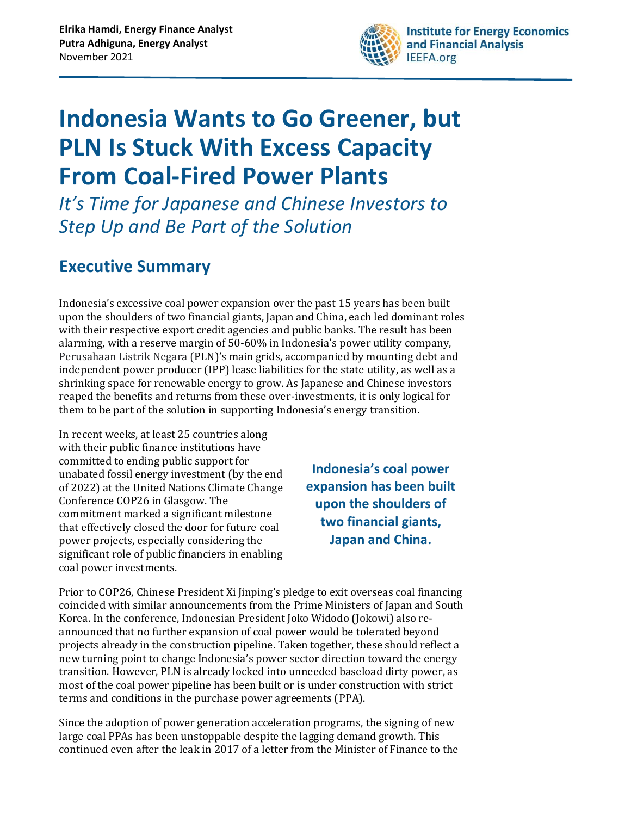

# **Indonesia Wants to Go Greener, but PLN Is Stuck With Excess Capacity From Coal-Fired Power Plants**

*It's Time for Japanese and Chinese Investors to Step Up and Be Part of the Solution*

## **Executive Summary**

Indonesia's excessive coal power expansion over the past 15 years has been built upon the shoulders of two financial giants, Japan and China, each led dominant roles with their respective export credit agencies and public banks. The result has been alarming, with a reserve margin of 50-60% in Indonesia's power utility company, Perusahaan Listrik Negara (PLN)'s main grids, accompanied by mounting debt and independent power producer (IPP) lease liabilities for the state utility, as well as a shrinking space for renewable energy to grow. As Japanese and Chinese investors reaped the benefits and returns from these over-investments, it is only logical for them to be part of the solution in supporting Indonesia's energy transition.

In recent weeks, at least 25 countries along with their public finance institutions have committed to ending public support for unabated fossil energy investment (by the end of 2022) at the United Nations Climate Change Conference COP26 in Glasgow. The commitment marked a significant milestone that effectively closed the door for future coal power projects, especially considering the significant role of public financiers in enabling coal power investments.

**Indonesia's coal power expansion has been built upon the shoulders of two financial giants, Japan and China.**

Prior to COP26, Chinese President Xi Jinping's pledge to exit overseas coal financing coincided with similar announcements from the Prime Ministers of Japan and South Korea. In the conference, Indonesian President Joko Widodo (Jokowi) also reannounced that no further expansion of coal power would be tolerated beyond projects already in the construction pipeline. Taken together, these should reflect a new turning point to change Indonesia's power sector direction toward the energy transition. However, PLN is already locked into unneeded baseload dirty power, as most of the coal power pipeline has been built or is under construction with strict terms and conditions in the purchase power agreements (PPA).

Since the adoption of power generation acceleration programs, the signing of new large coal PPAs has been unstoppable despite the lagging demand growth. This continued even after the leak in 2017 of a letter from the Minister of Finance to the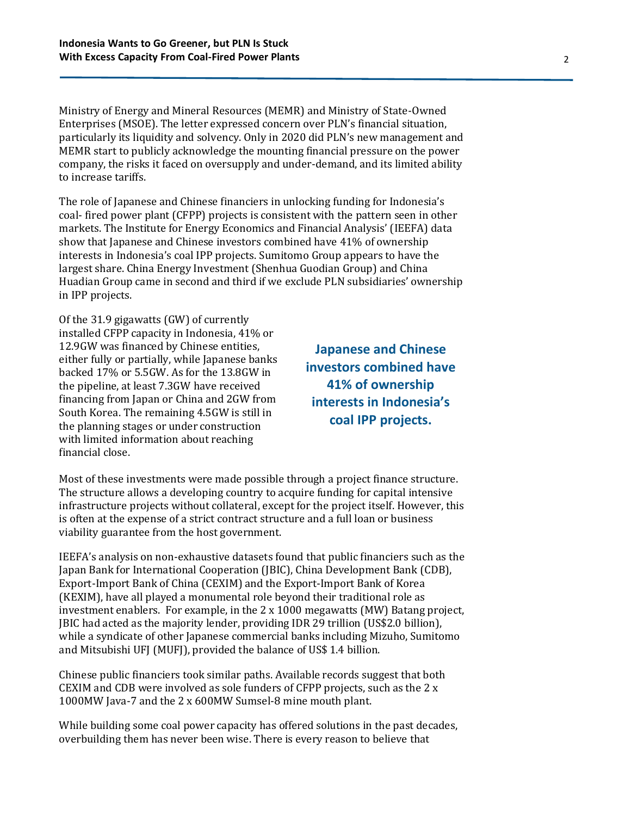Ministry of Energy and Mineral Resources (MEMR) and Ministry of State-Owned Enterprises (MSOE). The letter expressed concern over PLN's financial situation, particularly its liquidity and solvency. Only in 2020 did PLN's new management and MEMR start to publicly acknowledge the mounting financial pressure on the power company, the risks it faced on oversupply and under-demand, and its limited ability to increase tariffs.

The role of Japanese and Chinese financiers in unlocking funding for Indonesia's coal- fired power plant (CFPP) projects is consistent with the pattern seen in other markets. The Institute for Energy Economics and Financial Analysis' (IEEFA) data show that Japanese and Chinese investors combined have 41% of ownership interests in Indonesia's coal IPP projects. Sumitomo Group appears to have the largest share. China Energy Investment (Shenhua Guodian Group) and China Huadian Group came in second and third if we exclude PLN subsidiaries' ownership in IPP projects.

Of the 31.9 gigawatts (GW) of currently installed CFPP capacity in Indonesia, 41% or 12.9GW was financed by Chinese entities, either fully or partially, while Japanese banks backed 17% or 5.5GW. As for the 13.8GW in the pipeline, at least 7.3GW have received financing from Japan or China and 2GW from South Korea. The remaining 4.5GW is still in the planning stages or under construction with limited information about reaching financial close.

**Japanese and Chinese investors combined have 41% of ownership interests in Indonesia's coal IPP projects.**

Most of these investments were made possible through a project finance structure. The structure allows a developing country to acquire funding for capital intensive infrastructure projects without collateral, except for the project itself. However, this is often at the expense of a strict contract structure and a full loan or business viability guarantee from the host government.

IEEFA's analysis on non-exhaustive datasets found that public financiers such as the Japan Bank for International Cooperation (JBIC), China Development Bank (CDB), Export-Import Bank of China (CEXIM) and the Export-Import Bank of Korea (KEXIM), have all played a monumental role beyond their traditional role as investment enablers. For example, in the 2 x 1000 megawatts (MW) Batang project, JBIC had acted as the majority lender, providing IDR 29 trillion (US\$2.0 billion), while a syndicate of other Japanese commercial banks including Mizuho, Sumitomo and Mitsubishi UFJ (MUFJ), provided the balance of US\$ 1.4 billion.

Chinese public financiers took similar paths. Available records suggest that both CEXIM and CDB were involved as sole funders of CFPP projects, such as the 2 x 1000MW Java-7 and the 2 x 600MW Sumsel-8 mine mouth plant.

While building some coal power capacity has offered solutions in the past decades, overbuilding them has never been wise. There is every reason to believe that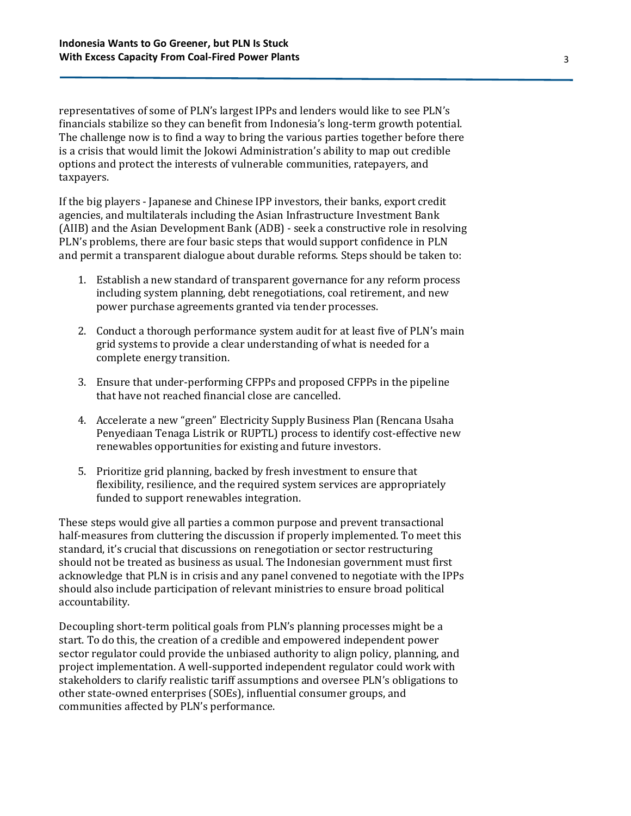representatives of some of PLN's largest IPPs and lenders would like to see PLN's financials stabilize so they can benefit from Indonesia's long-term growth potential. The challenge now is to find a way to bring the various parties together before there is a crisis that would limit the Jokowi Administration's ability to map out credible options and protect the interests of vulnerable communities, ratepayers, and taxpayers.

If the big players - Japanese and Chinese IPP investors, their banks, export credit agencies, and multilaterals including the Asian Infrastructure Investment Bank (AIIB) and the Asian Development Bank (ADB) - seek a constructive role in resolving PLN's problems, there are four basic steps that would support confidence in PLN and permit a transparent dialogue about durable reforms. Steps should be taken to:

- 1. Establish a new standard of transparent governance for any reform process including system planning, debt renegotiations, coal retirement, and new power purchase agreements granted via tender processes.
- 2. Conduct a thorough performance system audit for at least five of PLN's main grid systems to provide a clear understanding of what is needed for a complete energy transition.
- 3. Ensure that under-performing CFPPs and proposed CFPPs in the pipeline that have not reached financial close are cancelled.
- 4. Accelerate a new "green" Electricity Supply Business Plan (Rencana Usaha Penyediaan Tenaga Listrik or RUPTL) process to identify cost-effective new renewables opportunities for existing and future investors.
- 5. Prioritize grid planning, backed by fresh investment to ensure that flexibility, resilience, and the required system services are appropriately funded to support renewables integration.

These steps would give all parties a common purpose and prevent transactional half-measures from cluttering the discussion if properly implemented. To meet this standard, it's crucial that discussions on renegotiation or sector restructuring should not be treated as business as usual. The Indonesian government must first acknowledge that PLN is in crisis and any panel convened to negotiate with the IPPs should also include participation of relevant ministries to ensure broad political accountability.

Decoupling short-term political goals from PLN's planning processes might be a start. To do this, the creation of a credible and empowered independent power sector regulator could provide the unbiased authority to align policy, planning, and project implementation. A well-supported independent regulator could work with stakeholders to clarify realistic tariff assumptions and oversee PLN's obligations to other state-owned enterprises (SOEs), influential consumer groups, and communities affected by PLN's performance.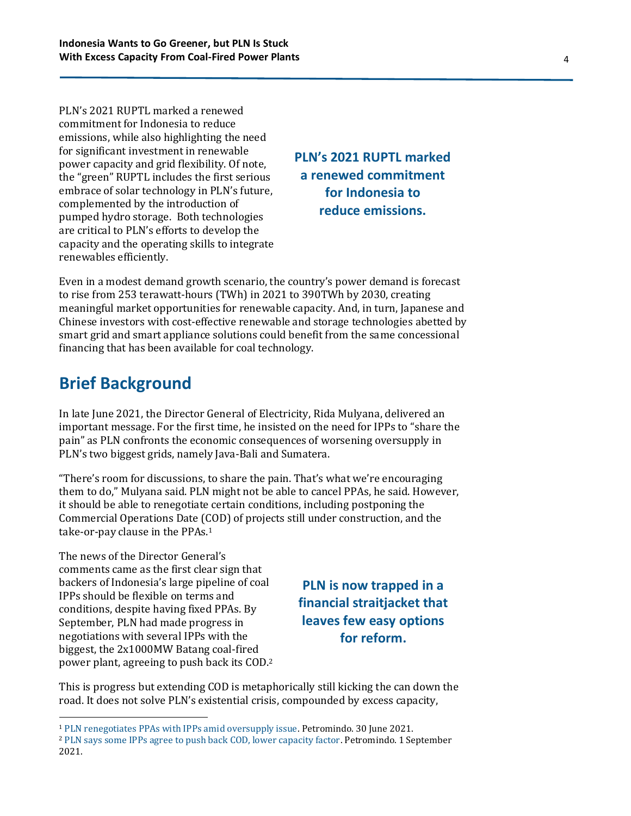PLN's 2021 RUPTL marked a renewed commitment for Indonesia to reduce emissions, while also highlighting the need for significant investment in renewable power capacity and grid flexibility. Of note, the "green" RUPTL includes the first serious embrace of solar technology in PLN's future, complemented by the introduction of pumped hydro storage. Both technologies are critical to PLN's efforts to develop the capacity and the operating skills to integrate renewables efficiently.

**PLN's 2021 RUPTL marked a renewed commitment for Indonesia to reduce emissions.**

Even in a modest demand growth scenario, the country's power demand is forecast to rise from 253 terawatt-hours (TWh) in 2021 to 390TWh by 2030, creating meaningful market opportunities for renewable capacity. And, in turn, Japanese and Chinese investors with cost-effective renewable and storage technologies abetted by smart grid and smart appliance solutions could benefit from the same concessional financing that has been available for coal technology.

### **Brief Background**

In late June 2021, the Director General of Electricity, Rida Mulyana, delivered an important message. For the first time, he insisted on the need for IPPs to "share the pain" as PLN confronts the economic consequences of worsening oversupply in PLN's two biggest grids, namely Java-Bali and Sumatera.

"There's room for discussions, to share the pain. That's what we're encouraging them to do," Mulyana said. PLN might not be able to cancel PPAs, he said. However, it should be able to renegotiate certain conditions, including postponing the Commercial Operations Date (COD) of projects still under construction, and the take-or-pay clause in the PPAs. 1

The news of the Director General's comments came as the first clear sign that backers of Indonesia's large pipeline of coal IPPs should be flexible on terms and conditions, despite having fixed PPAs. By September, PLN had made progress in negotiations with several IPPs with the biggest, the 2x1000MW Batang coal-fired power plant, agreeing to push back its COD.<sup>2</sup>

**PLN is now trapped in a financial straitjacket that leaves few easy options for reform.**

This is progress but extending COD is metaphorically still kicking the can down the road. It does not solve PLN's existential crisis, compounded by excess capacity,

<sup>1</sup> [PLN renegotiates PPAs with IPPs amid oversupply issue.](https://petromindo.com/news/article/pln-renegotiates-ppas-with-ipps-amid-oversupply-issue) Petromindo. 30 June 2021.

<sup>2</sup> [PLN says some IPPs agree to push back COD, lower capacity factor.](https://petromindo.com/news/article/pln-says-some-ipps-agree-to-push-back-cod-lower-capacity-factor) Petromindo. 1 September 2021.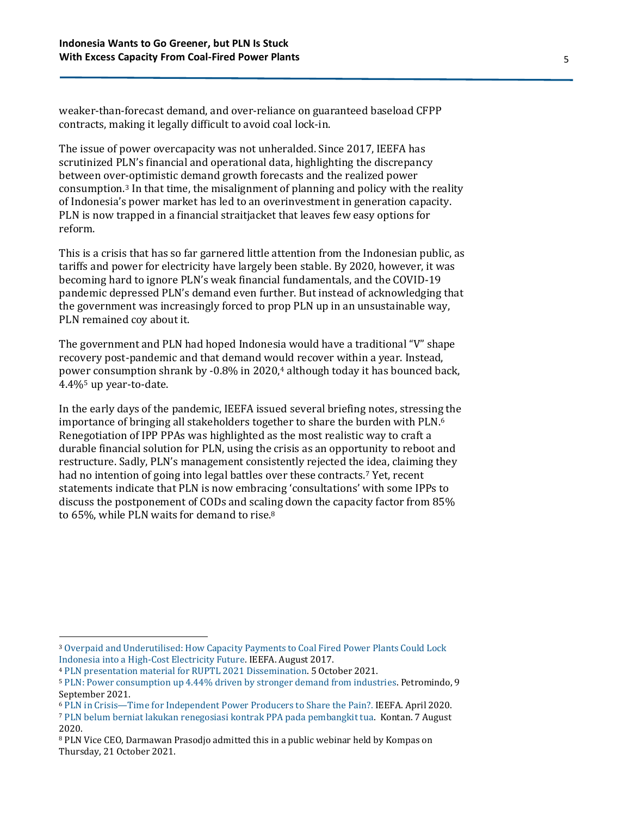weaker-than-forecast demand, and over-reliance on guaranteed baseload CFPP contracts, making it legally difficult to avoid coal lock-in.

The issue of power overcapacity was not unheralded. Since 2017, IEEFA has scrutinized PLN's financial and operational data, highlighting the discrepancy between over-optimistic demand growth forecasts and the realized power consumption. <sup>3</sup> In that time, the misalignment of planning and policy with the reality of Indonesia's power market has led to an overinvestment in generation capacity. PLN is now trapped in a financial straitjacket that leaves few easy options for reform.

This is a crisis that has so far garnered little attention from the Indonesian public, as tariffs and power for electricity have largely been stable. By 2020, however, it was becoming hard to ignore PLN's weak financial fundamentals, and the COVID-19 pandemic depressed PLN's demand even further. But instead of acknowledging that the government was increasingly forced to prop PLN up in an unsustainable way, PLN remained coy about it.

The government and PLN had hoped Indonesia would have a traditional "V" shape recovery post-pandemic and that demand would recover within a year. Instead, power consumption shrank by -0.8% in 2020, <sup>4</sup> although today it has bounced back, 4.4%<sup>5</sup> up year-to-date.

In the early days of the pandemic, IEEFA issued several briefing notes, stressing the importance of bringing all stakeholders together to share the burden with PLN. 6 Renegotiation of IPP PPAs was highlighted as the most realistic way to craft a durable financial solution for PLN, using the crisis as an opportunity to reboot and restructure. Sadly, PLN's management consistently rejected the idea, claiming they had no intention of going into legal battles over these contracts. <sup>7</sup> Yet, recent statements indicate that PLN is now embracing 'consultations' with some IPPs to discuss the postponement of CODs and scaling down the capacity factor from 85% to 65%, while PLN waits for demand to rise.<sup>8</sup>

<sup>3</sup> [Overpaid and Underutilised: How Capacity Payments to Coal Fired Power Plants Could Lock](https://ieefa.org/wp-content/uploads/2017/08/Overpaid-and-Underutilized_How-Capacity-Payments-to-Coal-Fired-Power-Plants-Could-Lock-Indonesia-into-a-High-Cost-Electricity-Future-_August2017.pdf)  [Indonesia into a High-Cost Electricity Future.](https://ieefa.org/wp-content/uploads/2017/08/Overpaid-and-Underutilized_How-Capacity-Payments-to-Coal-Fired-Power-Plants-Could-Lock-Indonesia-into-a-High-Cost-Electricity-Future-_August2017.pdf) IEEFA. August 2017.

<sup>4</sup> [PLN presentation material for RUPTL 2021 Dissemination.](https://gatrik.esdm.go.id/assets/uploads/download_index/files/cdb39-materi-diseminasi-ruptl-2021-2030-publik.pdf) 5 October 2021.

<sup>5</sup> [PLN: Power consumption up 4.44% driven by stronger demand from industries.](https://www.petromindo.com/news/article/pln-power-consumption-up-4-44-driven-by-stronger-demand-from-industries) Petromindo, 9 September 2021.

<sup>6</sup> PLN in Crisis—[Time for Independent Power Producers to Share the Pain?.](https://ieefa.org/wp-content/uploads/2020/04/PLN_Time-for-IPPs-to-Share-the-Pain_April-2020.pdf) IEEFA. April 2020.

<sup>7</sup> [PLN belum berniat lakukan renegosiasi kontrak PPA pada pembangkit tua.](https://industri.kontan.co.id/news/pln-belum-berniat-lakukan-renegosiasi-kontrak-ppa-pada-pembangkit-tua?page=all) Kontan. 7 August 2020.

<sup>8</sup> PLN Vice CEO, Darmawan Prasodjo admitted this in a public webinar held by Kompas on Thursday, 21 October 2021.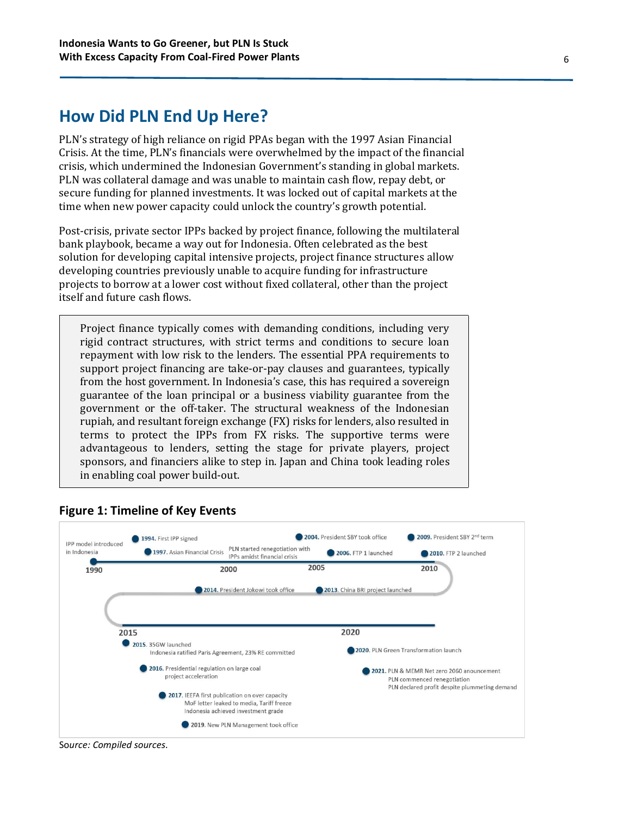### **How Did PLN End Up Here?**

PLN's strategy of high reliance on rigid PPAs began with the 1997 Asian Financial Crisis. At the time, PLN's financials were overwhelmed by the impact of the financial crisis, which undermined the Indonesian Government's standing in global markets. PLN was collateral damage and was unable to maintain cash flow, repay debt, or secure funding for planned investments. It was locked out of capital markets at the time when new power capacity could unlock the country's growth potential.

Post-crisis, private sector IPPs backed by project finance, following the multilateral bank playbook, became a way out for Indonesia. Often celebrated as the best solution for developing capital intensive projects, project finance structures allow developing countries previously unable to acquire funding for infrastructure projects to borrow at a lower cost without fixed collateral, other than the project itself and future cash flows.

Project finance typically comes with demanding conditions, including very rigid contract structures, with strict terms and conditions to secure loan repayment with low risk to the lenders. The essential PPA requirements to support project financing are take-or-pay clauses and guarantees, typically from the host government. In Indonesia's case, this has required a sovereign guarantee of the loan principal or a business viability guarantee from the government or the off-taker. The structural weakness of the Indonesian rupiah, and resultant foreign exchange (FX) risks for lenders, also resulted in terms to protect the IPPs from FX risks. The supportive terms were advantageous to lenders, setting the stage for private players, project sponsors, and financiers alike to step in. Japan and China took leading roles in enabling coal power build-out.



#### **Figure 1: Timeline of Key Events**

So*urce: Compiled sources.*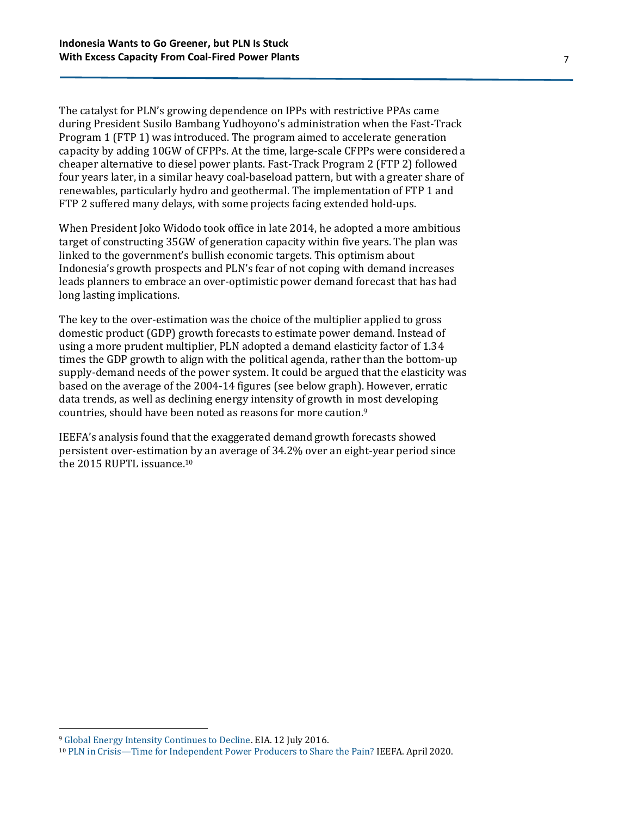The catalyst for PLN's growing dependence on IPPs with restrictive PPAs came during President Susilo Bambang Yudhoyono's administration when the Fast-Track Program 1 (FTP 1) was introduced. The program aimed to accelerate generation capacity by adding 10GW of CFPPs. At the time, large-scale CFPPs were considered a cheaper alternative to diesel power plants. Fast-Track Program 2 (FTP 2) followed four years later, in a similar heavy coal-baseload pattern, but with a greater share of renewables, particularly hydro and geothermal. The implementation of FTP 1 and FTP 2 suffered many delays, with some projects facing extended hold-ups.

When President Joko Widodo took office in late 2014, he adopted a more ambitious target of constructing 35GW of generation capacity within five years. The plan was linked to the government's bullish economic targets. This optimism about Indonesia's growth prospects and PLN's fear of not coping with demand increases leads planners to embrace an over-optimistic power demand forecast that has had long lasting implications.

The key to the over-estimation was the choice of the multiplier applied to gross domestic product (GDP) growth forecasts to estimate power demand. Instead of using a more prudent multiplier, PLN adopted a demand elasticity factor of 1.34 times the GDP growth to align with the political agenda, rather than the bottom-up supply-demand needs of the power system. It could be argued that the elasticity was based on the average of the 2004-14 figures (see below graph). However, erratic data trends, as well as declining energy intensity of growth in most developing countries, should have been noted as reasons for more caution. 9

IEEFA's analysis found that the exaggerated demand growth forecasts showed persistent over-estimation by an average of 34.2% over an eight-year period since the 2015 RUPTL issuance.<sup>10</sup>

<sup>9</sup> [Global Energy Intensity Continues to Decline.](https://www.eia.gov/todayinenergy/detail.php?id=27032) EIA. 12 July 2016.

<sup>10</sup> PLN in Crisis—[Time for Independent Power Producers to Share the Pain?](https://ieefa.org/wp-content/uploads/2020/04/PLN_Time-for-IPPs-to-Share-the-Pain_April-2020.pdf) IEEFA. April 2020.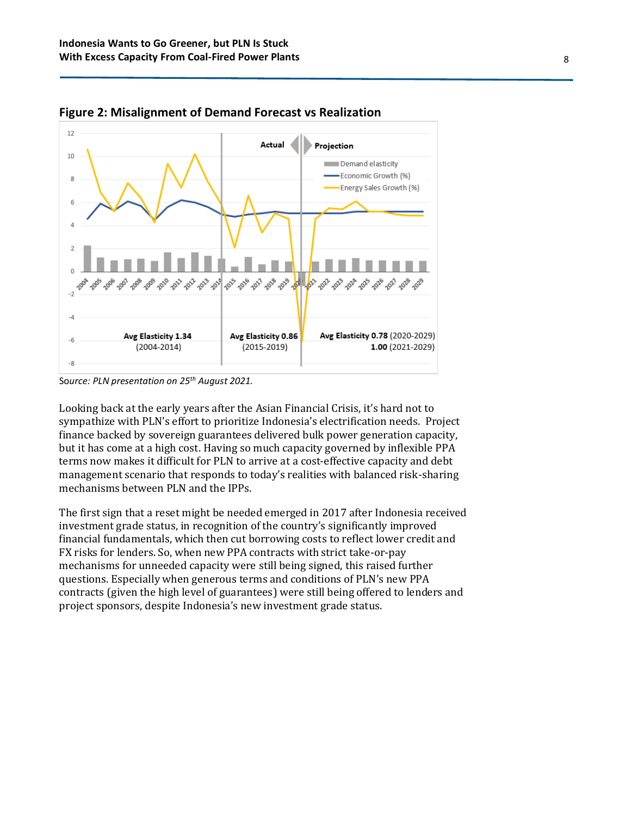

**Figure 2: Misalignment of Demand Forecast vs Realization**

Looking back at the early years after the Asian Financial Crisis, it's hard not to sympathize with PLN's effort to prioritize Indonesia's electrification needs. Project finance backed by sovereign guarantees delivered bulk power generation capacity, but it has come at a high cost. Having so much capacity governed by inflexible PPA terms now makes it difficult for PLN to arrive at a cost-effective capacity and debt management scenario that responds to today's realities with balanced risk-sharing mechanisms between PLN and the IPPs.

The first sign that a reset might be needed emerged in 2017 after Indonesia received investment grade status, in recognition of the country's significantly improved financial fundamentals, which then cut borrowing costs to reflect lower credit and FX risks for lenders. So, when new PPA contracts with strict take-or-pay mechanisms for unneeded capacity were still being signed, this raised further questions. Especially when generous terms and conditions of PLN's new PPA contracts (given the high level of guarantees) were still being offered to lenders and project sponsors, despite Indonesia's new investment grade status.

So*urce: PLN presentation on 25th August 2021.*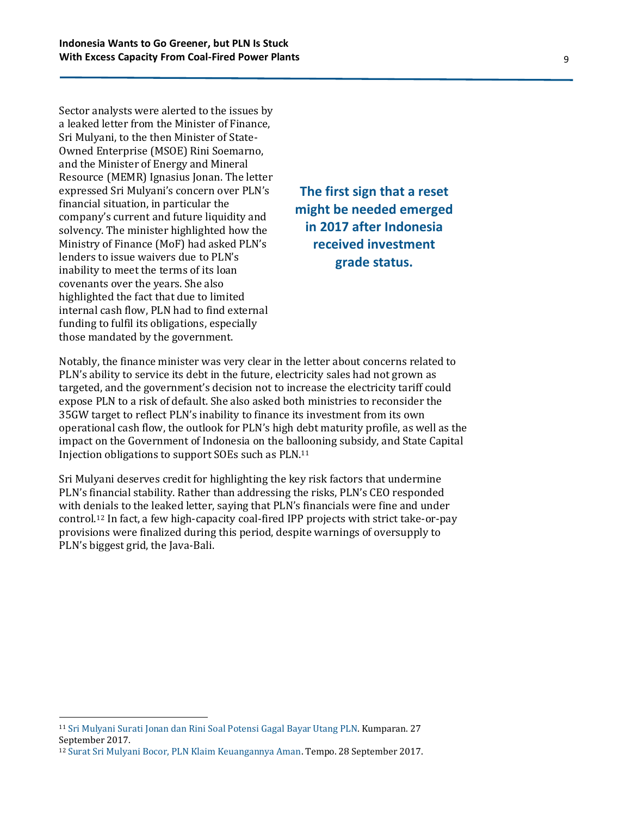Sector analysts were alerted to the issues by a leaked letter from the Minister of Finance, Sri Mulyani, to the then Minister of State-Owned Enterprise (MSOE) Rini Soemarno, and the Minister of Energy and Mineral Resource (MEMR) Ignasius Jonan. The letter expressed Sri Mulyani's concern over PLN's financial situation, in particular the company's current and future liquidity and solvency. The minister highlighted how the Ministry of Finance (MoF) had asked PLN's lenders to issue waivers due to PLN's inability to meet the terms of its loan covenants over the years. She also highlighted the fact that due to limited internal cash flow, PLN had to find external funding to fulfil its obligations, especially those mandated by the government.

### **The first sign that a reset might be needed emerged in 2017 after Indonesia received investment grade status.**

Notably, the finance minister was very clear in the letter about concerns related to PLN's ability to service its debt in the future, electricity sales had not grown as targeted, and the government's decision not to increase the electricity tariff could expose PLN to a risk of default. She also asked both ministries to reconsider the 35GW target to reflect PLN's inability to finance its investment from its own operational cash flow, the outlook for PLN's high debt maturity profile, as well as the impact on the Government of Indonesia on the ballooning subsidy, and State Capital Injection obligations to support SOEs such as PLN.<sup>11</sup>

Sri Mulyani deserves credit for highlighting the key risk factors that undermine PLN's financial stability. Rather than addressing the risks, PLN's CEO responded with denials to the leaked letter, saying that PLN's financials were fine and under control. <sup>12</sup> In fact, a few high-capacity coal-fired IPP projects with strict take-or-pay provisions were finalized during this period, despite warnings of oversupply to PLN's biggest grid, the Java-Bali.

<sup>11</sup> [Sri Mulyani Surati Jonan dan Rini Soal Potensi Gagal Bayar Utang PLN.](https://kumparan.com/kumparannews/sri-mulyani-surati-jonan-dan-rini-soal-potensi-gagal-bayar-utang-pln/3) Kumparan. 27 September 2017.

<sup>12</sup> [Surat Sri Mulyani Bocor, PLN Klaim Keuangannya Aman.](https://bisnis.tempo.co/read/1020399/surat-sri-mulyani-bocor-pln-klaim-keuangannya-aman) Tempo. 28 September 2017.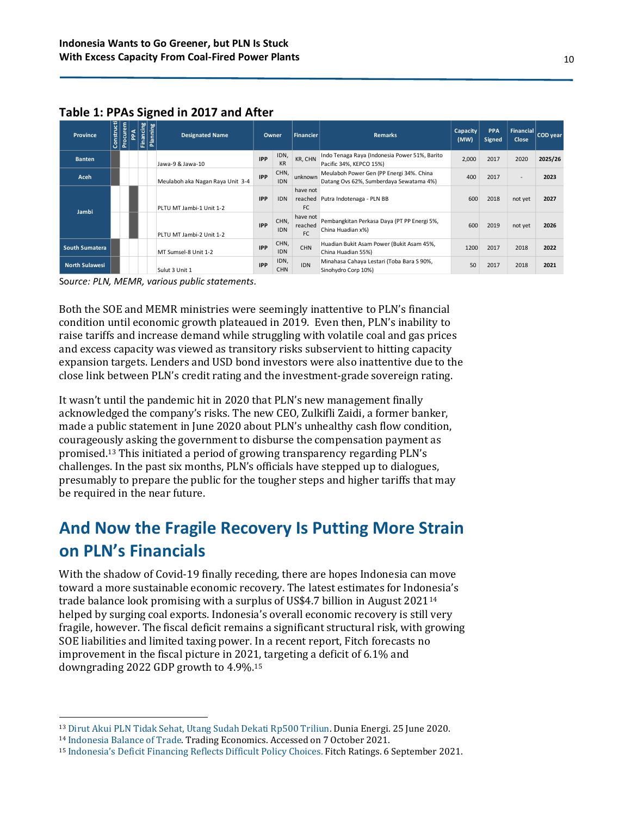| <b>Province</b>                                                                                                                                                                                                                                                                                                                                                                                                                                                                                                                                                                                                                                                                                                                                                                                                                                                                                                                                                                                                                                                                                                                                                        | Construct                                                                                                                                                                                                                                                                                                              | Procurem<br>PPA                                                                                                | <b>Financing</b> | Planning                                    | <b>Designated Name</b>                                                                                               | Owner       |                                                                                       | <b>Financier</b>                                                                    | Remarks                                                                                                                                                                                                                                                                                                                                                                                                                                                                                                                                     | Capacity<br>(MW) | <b>PPA</b><br>Signed     | <b>Financial</b><br>Close | <b>COD</b> year |
|------------------------------------------------------------------------------------------------------------------------------------------------------------------------------------------------------------------------------------------------------------------------------------------------------------------------------------------------------------------------------------------------------------------------------------------------------------------------------------------------------------------------------------------------------------------------------------------------------------------------------------------------------------------------------------------------------------------------------------------------------------------------------------------------------------------------------------------------------------------------------------------------------------------------------------------------------------------------------------------------------------------------------------------------------------------------------------------------------------------------------------------------------------------------|------------------------------------------------------------------------------------------------------------------------------------------------------------------------------------------------------------------------------------------------------------------------------------------------------------------------|----------------------------------------------------------------------------------------------------------------|------------------|---------------------------------------------|----------------------------------------------------------------------------------------------------------------------|-------------|---------------------------------------------------------------------------------------|-------------------------------------------------------------------------------------|---------------------------------------------------------------------------------------------------------------------------------------------------------------------------------------------------------------------------------------------------------------------------------------------------------------------------------------------------------------------------------------------------------------------------------------------------------------------------------------------------------------------------------------------|------------------|--------------------------|---------------------------|-----------------|
| <b>Banten</b>                                                                                                                                                                                                                                                                                                                                                                                                                                                                                                                                                                                                                                                                                                                                                                                                                                                                                                                                                                                                                                                                                                                                                          |                                                                                                                                                                                                                                                                                                                        |                                                                                                                |                  |                                             | IDN,<br><b>IPP</b><br>Jawa-9 & Jawa-10<br>KR                                                                         |             | KR, CHN                                                                               | Indo Tenaga Raya (Indonesia Power 51%, Barito<br>Pacific 34%, KEPCO 15%)            | 2,000                                                                                                                                                                                                                                                                                                                                                                                                                                                                                                                                       | 2017             | 2020                     | 2025/26                   |                 |
| Aceh                                                                                                                                                                                                                                                                                                                                                                                                                                                                                                                                                                                                                                                                                                                                                                                                                                                                                                                                                                                                                                                                                                                                                                   |                                                                                                                                                                                                                                                                                                                        |                                                                                                                |                  | Meulaboh aka Nagan Raya Unit 3-4            | <b>IPP</b>                                                                                                           | CHN,<br>IDN | unknown                                                                               | Meulaboh Power Gen (PP Energi 34%. China<br>Datang Ovs 62%, Sumberdaya Sewatama 4%) | 400                                                                                                                                                                                                                                                                                                                                                                                                                                                                                                                                         | 2017             | $\overline{\phantom{a}}$ | 2023                      |                 |
| Jambi                                                                                                                                                                                                                                                                                                                                                                                                                                                                                                                                                                                                                                                                                                                                                                                                                                                                                                                                                                                                                                                                                                                                                                  |                                                                                                                                                                                                                                                                                                                        |                                                                                                                |                  |                                             | PLTU MT Jambi-1 Unit 1-2                                                                                             | <b>IPP</b>  | <b>IDN</b>                                                                            | have not<br>FC                                                                      | 600<br>reached Putra Indotenaga - PLN BB<br>2018<br>600<br>2019<br>1200<br>2017<br>50<br>2017                                                                                                                                                                                                                                                                                                                                                                                                                                               | not yet          | 2027                     |                           |                 |
|                                                                                                                                                                                                                                                                                                                                                                                                                                                                                                                                                                                                                                                                                                                                                                                                                                                                                                                                                                                                                                                                                                                                                                        |                                                                                                                                                                                                                                                                                                                        | have not<br>CHN,<br><b>IPP</b><br>reached<br><b>IDN</b><br>China Huadian x%)<br>FC<br>PLTU MT Jambi-2 Unit 1-2 |                  | Pembangkitan Perkasa Daya (PT PP Energi 5%, |                                                                                                                      |             | not yet                                                                               | 2026                                                                                |                                                                                                                                                                                                                                                                                                                                                                                                                                                                                                                                             |                  |                          |                           |                 |
| <b>South Sumatera</b>                                                                                                                                                                                                                                                                                                                                                                                                                                                                                                                                                                                                                                                                                                                                                                                                                                                                                                                                                                                                                                                                                                                                                  |                                                                                                                                                                                                                                                                                                                        |                                                                                                                |                  |                                             | MT Sumsel-8 Unit 1-2                                                                                                 | <b>IPP</b>  | CHN,<br>Huadian Bukit Asam Power (Bukit Asam 45%,<br>CHN<br>IDN<br>China Huadian 55%) |                                                                                     |                                                                                                                                                                                                                                                                                                                                                                                                                                                                                                                                             |                  | 2018                     | 2022                      |                 |
| <b>North Sulawesi</b>                                                                                                                                                                                                                                                                                                                                                                                                                                                                                                                                                                                                                                                                                                                                                                                                                                                                                                                                                                                                                                                                                                                                                  |                                                                                                                                                                                                                                                                                                                        |                                                                                                                | Sulut 3 Unit 1   | <b>IPP</b>                                  | IDN,<br><b>CHN</b>                                                                                                   | IDN         | Minahasa Cahaya Lestari (Toba Bara S 90%,<br>Sinohydro Corp 10%)                      |                                                                                     |                                                                                                                                                                                                                                                                                                                                                                                                                                                                                                                                             | 2018             | 2021                     |                           |                 |
| Both the SOE and MEMR ministries were seemingly inattentive to PLN's financial<br>condition until economic growth plateaued in 2019. Even then, PLN's inability to<br>raise tariffs and increase demand while struggling with volatile coal and gas prices<br>and excess capacity was viewed as transitory risks subservient to hitting capacity<br>expansion targets. Lenders and USD bond investors were also inattentive due to the<br>close link between PLN's credit rating and the investment-grade sovereign rating.<br>It wasn't until the pandemic hit in 2020 that PLN's new management finally<br>acknowledged the company's risks. The new CEO, Zulkifli Zaidi, a former banker,<br>made a public statement in June 2020 about PLN's unhealthy cash flow condition,<br>courageously asking the government to disburse the compensation payment as<br>promised. <sup>13</sup> This initiated a period of growing transparency regarding PLN's<br>challenges. In the past six months, PLN's officials have stepped up to dialogues,<br>presumably to prepare the public for the tougher steps and higher tariffs that may<br>be required in the near future. |                                                                                                                                                                                                                                                                                                                        |                                                                                                                |                  |                                             |                                                                                                                      |             |                                                                                       |                                                                                     |                                                                                                                                                                                                                                                                                                                                                                                                                                                                                                                                             |                  |                          |                           |                 |
| on PLN's Financials                                                                                                                                                                                                                                                                                                                                                                                                                                                                                                                                                                                                                                                                                                                                                                                                                                                                                                                                                                                                                                                                                                                                                    |                                                                                                                                                                                                                                                                                                                        |                                                                                                                |                  |                                             |                                                                                                                      |             |                                                                                       |                                                                                     | And Now the Fragile Recovery Is Putting More Strain                                                                                                                                                                                                                                                                                                                                                                                                                                                                                         |                  |                          |                           |                 |
|                                                                                                                                                                                                                                                                                                                                                                                                                                                                                                                                                                                                                                                                                                                                                                                                                                                                                                                                                                                                                                                                                                                                                                        |                                                                                                                                                                                                                                                                                                                        |                                                                                                                |                  |                                             | improvement in the fiscal picture in 2021, targeting a deficit of 6.1% and<br>downgrading 2022 GDP growth to 4.9%.15 |             |                                                                                       |                                                                                     | With the shadow of Covid-19 finally receding, there are hopes Indonesia can move<br>toward a more sustainable economic recovery. The latest estimates for Indonesia's<br>trade balance look promising with a surplus of US\$4.7 billion in August 2021 <sup>14</sup><br>helped by surging coal exports. Indonesia's overall economic recovery is still very<br>fragile, however. The fiscal deficit remains a significant structural risk, with growing<br>SOE liabilities and limited taxing power. In a recent report, Fitch forecasts no |                  |                          |                           |                 |
|                                                                                                                                                                                                                                                                                                                                                                                                                                                                                                                                                                                                                                                                                                                                                                                                                                                                                                                                                                                                                                                                                                                                                                        | <sup>13</sup> Dirut Akui PLN Tidak Sehat, Utang Sudah Dekati Rp500 Triliun. Dunia Energi. 25 June 2020.<br><sup>14</sup> Indonesia Balance of Trade. Trading Economics. Accessed on 7 October 2021.<br><sup>15</sup> Indonesia's Deficit Financing Reflects Difficult Policy Choices. Fitch Ratings. 6 September 2021. |                                                                                                                |                  |                                             |                                                                                                                      |             |                                                                                       |                                                                                     |                                                                                                                                                                                                                                                                                                                                                                                                                                                                                                                                             |                  |                          |                           |                 |

#### **Table 1: PPAs Signed in 2017 and After**

## **And Now the Fragile Recovery Is Putting More Strain on PLN's Financials**

<sup>13</sup> [Dirut Akui PLN Tidak Sehat, Utang Sudah Dekati Rp500 Triliun.](https://www.dunia-energi.com/dirut-akui-pln-tidak-sehat-utang-sudah-dekati-rp500-triliun/) Dunia Energi. 25 June 2020.

<sup>14</sup> [Indonesia Balance of Trade.](https://tradingeconomics.com/indonesia/balance-of-trade) Trading Economics. Accessed on 7 October 2021.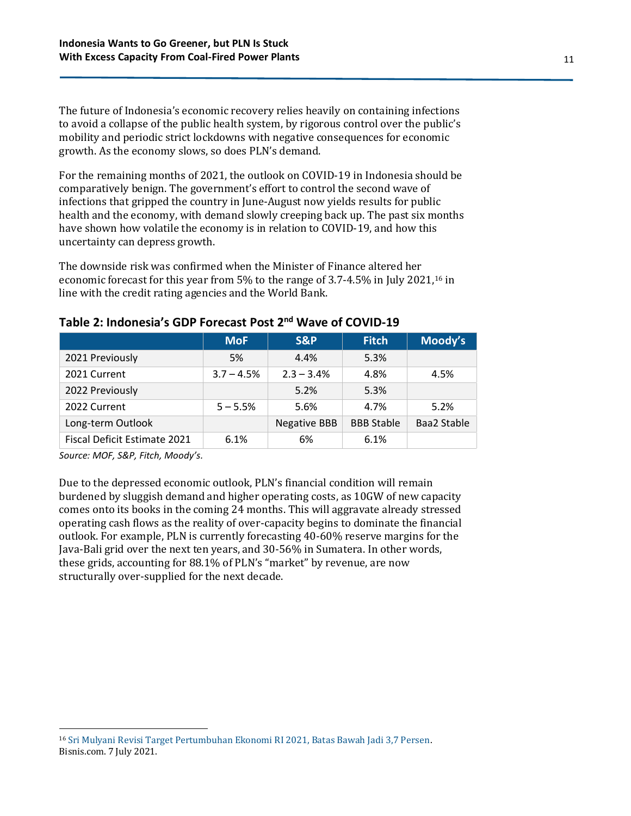The future of Indonesia's economic recovery relies heavily on containing infections to avoid a collapse of the public health system, by rigorous control over the public's mobility and periodic strict lockdowns with negative consequences for economic growth. As the economy slows, so does PLN's demand.

For the remaining months of 2021, the outlook on COVID-19 in Indonesia should be comparatively benign. The government's effort to control the second wave of infections that gripped the country in June-August now yields results for public health and the economy, with demand slowly creeping back up. The past six months have shown how volatile the economy is in relation to COVID-19, and how this uncertainty can depress growth.

The downside risk was confirmed when the Minister of Finance altered her economic forecast for this year from 5% to the range of 3.7-4.5% in July 2021, <sup>16</sup> in line with the credit rating agencies and the World Bank.

|                              | <b>MoF</b>   | <b>S&amp;P</b>      | <b>Fitch</b>      | Moody's     |
|------------------------------|--------------|---------------------|-------------------|-------------|
| 2021 Previously              | 5%           | 4.4%                | 5.3%              |             |
| 2021 Current                 | $3.7 - 4.5%$ | $2.3 - 3.4\%$       | 4.8%              | 4.5%        |
| 2022 Previously              |              | 5.2%                | 5.3%              |             |
| 2022 Current                 | $5 - 5.5%$   | 5.6%                | 4.7%              | 5.2%        |
| Long-term Outlook            |              | <b>Negative BBB</b> | <b>BBB Stable</b> | Baa2 Stable |
| Fiscal Deficit Estimate 2021 | 6.1%         | 6%                  | 6.1%              |             |

**Table 2: Indonesia's GDP Forecast Post 2 nd Wave of COVID-19**

*Source: MOF, S&P, Fitch, Moody's.*

Due to the depressed economic outlook, PLN's financial condition will remain burdened by sluggish demand and higher operating costs, as 10GW of new capacity comes onto its books in the coming 24 months. This will aggravate already stressed operating cash flows as the reality of over-capacity begins to dominate the financial outlook. For example, PLN is currently forecasting 40-60% reserve margins for the Java-Bali grid over the next ten years, and 30-56% in Sumatera. In other words, these grids, accounting for 88.1% of PLN's "market" by revenue, are now structurally over-supplied for the next decade.

<sup>16</sup> [Sri Mulyani Revisi Target Pertumbuhan Ekonomi RI 2021, Batas Bawah Jadi 3,7 Persen.](https://ekonomi.bisnis.com/read/20210707/9/1415901/sri-mulyani-revisi-target-pertumbuhan-ekonomi-ri-2021-batas-bawah-jadi-37-persen?utm_source=Desktop&utm_medium=Artikel&utm_campaign=BacaJuga_1)  Bisnis.com. 7 July 2021.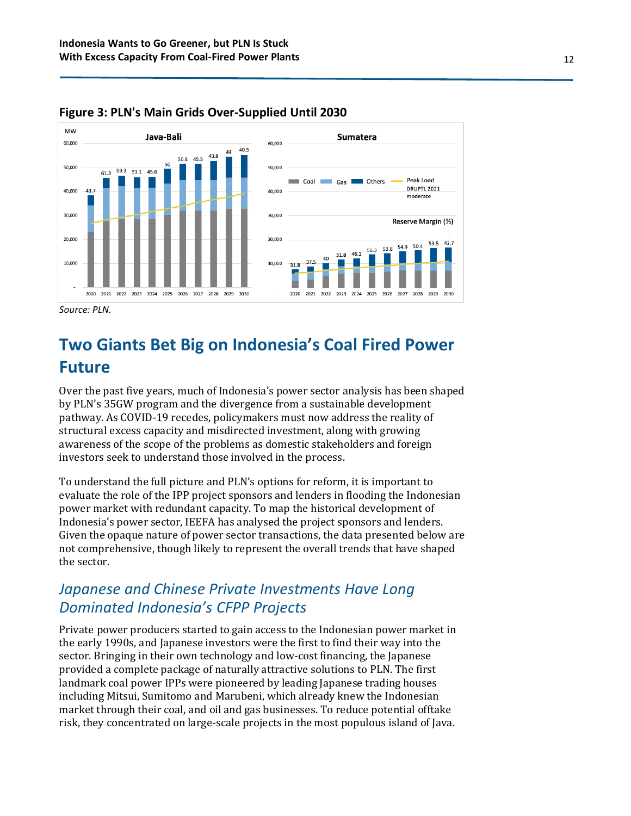



*Source: PLN.*

## **Two Giants Bet Big on Indonesia's Coal Fired Power Future**

Over the past five years, much of Indonesia's power sector analysis has been shaped by PLN's 35GW program and the divergence from a sustainable development pathway. As COVID-19 recedes, policymakers must now address the reality of structural excess capacity and misdirected investment, along with growing awareness of the scope of the problems as domestic stakeholders and foreign investors seek to understand those involved in the process.

To understand the full picture and PLN's options for reform, it is important to evaluate the role of the IPP project sponsors and lenders in flooding the Indonesian power market with redundant capacity. To map the historical development of Indonesia's power sector, IEEFA has analysed the project sponsors and lenders. Given the opaque nature of power sector transactions, the data presented below are not comprehensive, though likely to represent the overall trends that have shaped the sector.

### *Japanese and Chinese Private Investments Have Long Dominated Indonesia's CFPP Projects*

Private power producers started to gain access to the Indonesian power market in the early 1990s, and Japanese investors were the first to find their way into the sector. Bringing in their own technology and low-cost financing, the Japanese provided a complete package of naturally attractive solutions to PLN. The first landmark coal power IPPs were pioneered by leading Japanese trading houses including Mitsui, Sumitomo and Marubeni, which already knew the Indonesian market through their coal, and oil and gas businesses. To reduce potential offtake risk, they concentrated on large-scale projects in the most populous island of Java.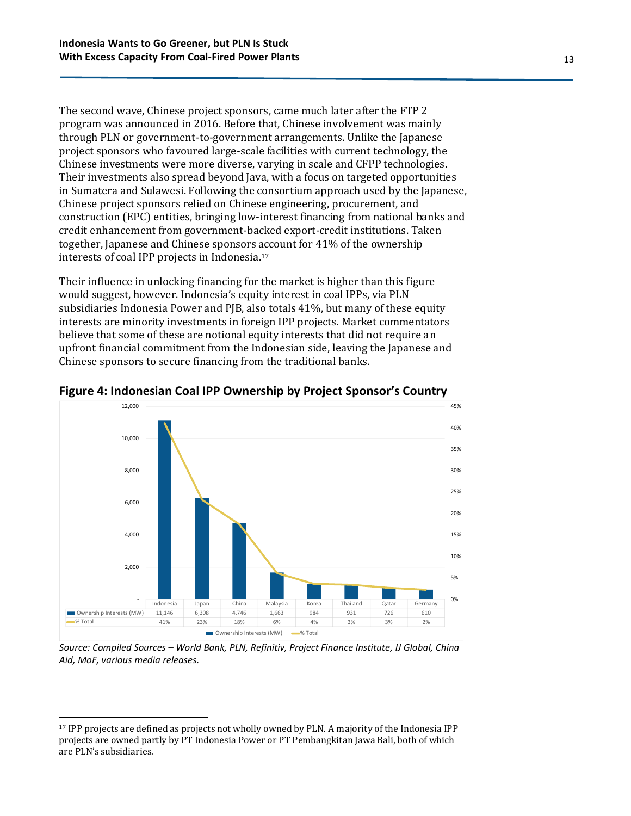The second wave, Chinese project sponsors, came much later after the FTP 2 program was announced in 2016. Before that, Chinese involvement was mainly through PLN or government-to-government arrangements. Unlike the Japanese project sponsors who favoured large-scale facilities with current technology, the Chinese investments were more diverse, varying in scale and CFPP technologies. Their investments also spread beyond Java, with a focus on targeted opportunities in Sumatera and Sulawesi. Following the consortium approach used by the Japanese, Chinese project sponsors relied on Chinese engineering, procurement, and construction (EPC) entities, bringing low-interest financing from national banks and credit enhancement from government-backed export-credit institutions. Taken together, Japanese and Chinese sponsors account for 41% of the ownership interests of coal IPP projects in Indonesia. 17

Their influence in unlocking financing for the market is higher than this figure would suggest, however. Indonesia's equity interest in coal IPPs, via PLN subsidiaries Indonesia Power and PJB, also totals 41%, but many of these equity interests are minority investments in foreign IPP projects. Market commentators believe that some of these are notional equity interests that did not require an upfront financial commitment from the Indonesian side, leaving the Japanese and Chinese sponsors to secure financing from the traditional banks.



**Figure 4: Indonesian Coal IPP Ownership by Project Sponsor's Country**

*Source: Compiled Sources – World Bank, PLN, Refinitiv, Project Finance Institute, IJ Global, China Aid, MoF, various media releases.*

<sup>17</sup> IPP projects are defined as projects not wholly owned by PLN. A majority of the Indonesia IPP projects are owned partly by PT Indonesia Power or PT Pembangkitan Jawa Bali, both of which are PLN's subsidiaries.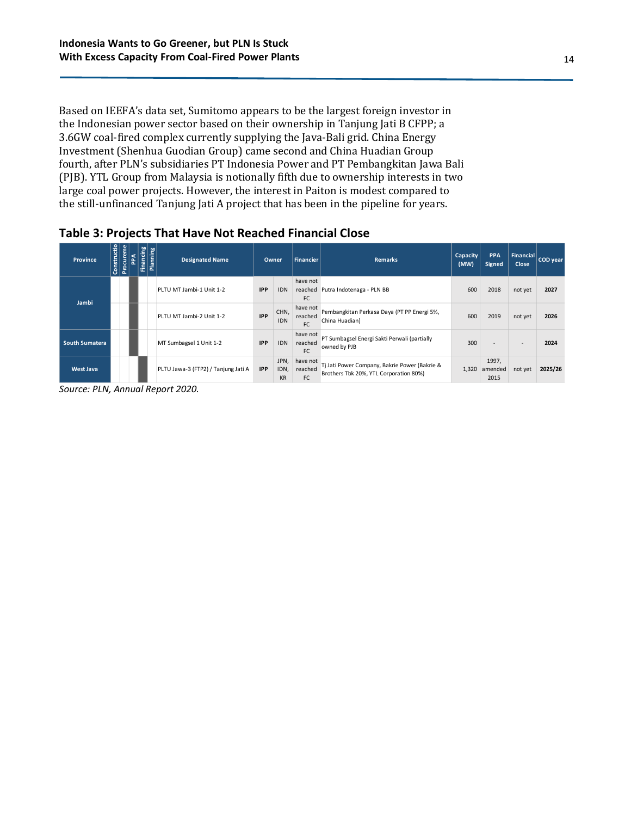Based on IEEFA's data set, Sumitomo appears to be the largest foreign investor in the Indonesian power sector based on their ownership in Tanjung Jati B CFPP; a 3.6GW coal-fired complex currently supplying the Java-Bali grid. China Energy Investment (Shenhua Guodian Group) came second and China Huadian Group fourth, after PLN's subsidiaries PT Indonesia Power and PT Pembangkitan Jawa Bali (PJB). YTL Group from Malaysia is notionally fifth due to ownership interests in two large coal power projects. However, the interest in Paiton is modest compared to the still-unfinanced Tanjung Jati A project that has been in the pipeline for years.

| Province              | Constructio | Procureme | 운 | Financing | <b>Planning</b> | <b>Designated Name</b>              |            | <b>Owner</b><br><b>Financier</b> |                                  | <b>Remarks</b>                                                                          | Capacity<br>(MW) | <b>PPA</b><br>Signed     | Financial<br><b>Close</b> | $ $ COD year $ $ |
|-----------------------|-------------|-----------|---|-----------|-----------------|-------------------------------------|------------|----------------------------------|----------------------------------|-----------------------------------------------------------------------------------------|------------------|--------------------------|---------------------------|------------------|
| Jambi                 |             |           |   |           |                 | PLTU MT Jambi-1 Unit 1-2            | <b>IPP</b> | <b>IDN</b>                       | have not<br>reached<br><b>FC</b> | Putra Indotenaga - PLN BB                                                               | 600              | 2018                     | not yet                   | 2027             |
|                       |             |           |   |           |                 | PLTU MT Jambi-2 Unit 1-2            | <b>IPP</b> | CHN,<br><b>IDN</b>               | have not<br>reached<br>FC        | Pembangkitan Perkasa Daya (PT PP Energi 5%,<br>China Huadian)                           | 600              | 2019                     | not yet                   | 2026             |
| <b>South Sumatera</b> |             |           |   |           |                 | MT Sumbagsel 1 Unit 1-2             | <b>IPP</b> | <b>IDN</b>                       | have not<br>reached<br><b>FC</b> | PT Sumbagsel Energi Sakti Perwali (partially<br>owned by PJB                            | 300              | <b>Section</b>           | $\overline{\phantom{a}}$  | 2024             |
| <b>West Java</b>      |             |           |   |           |                 | PLTU Jawa-3 (FTP2) / Tanjung Jati A | <b>IPP</b> | JPN,<br>IDN,<br><b>KR</b>        | have not<br>reached<br><b>FC</b> | Tj Jati Power Company, Bakrie Power (Bakrie &<br>Brothers Tbk 20%, YTL Corporation 80%) | 1,320            | 1997,<br>amended<br>2015 | not yet                   | 2025/26          |

#### **Table 3: Projects That Have Not Reached Financial Close**

*Source: PLN, Annual Report 2020.*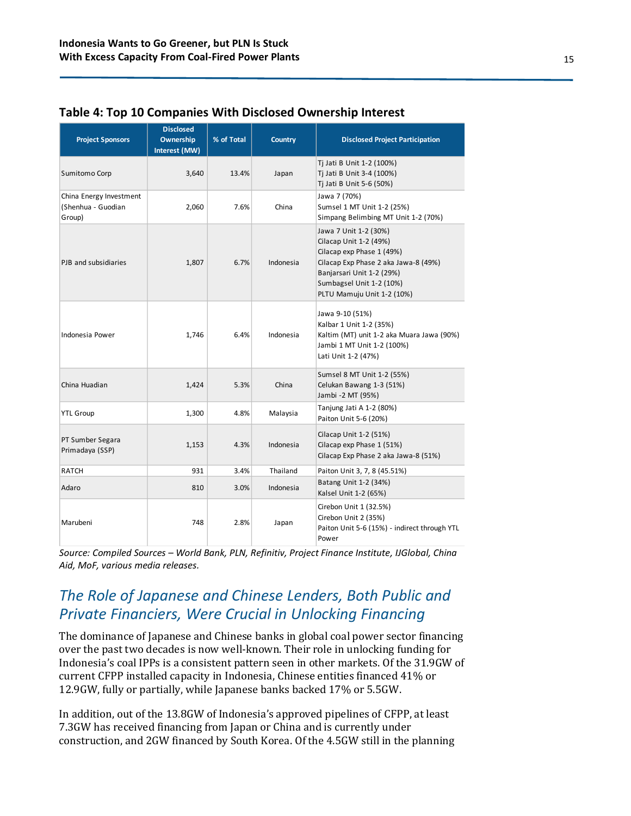| <b>Project Sponsors</b>                                 | <b>Disclosed</b><br><b>Ownership</b><br>Interest (MW) | % of Total | <b>Country</b> | <b>Disclosed Project Participation</b>                                                                                                                                                                                                                                                                                                                                                                                    |  |  |  |
|---------------------------------------------------------|-------------------------------------------------------|------------|----------------|---------------------------------------------------------------------------------------------------------------------------------------------------------------------------------------------------------------------------------------------------------------------------------------------------------------------------------------------------------------------------------------------------------------------------|--|--|--|
| Sumitomo Corp                                           | 3,640                                                 | 13.4%      | Japan          | Tj Jati B Unit 1-2 (100%)<br>Ti Jati B Unit 3-4 (100%)<br>Tj Jati B Unit 5-6 (50%)                                                                                                                                                                                                                                                                                                                                        |  |  |  |
| China Energy Investment<br>(Shenhua - Guodian<br>Group) | 2,060                                                 | 7.6%       | China          | Jawa 7 (70%)<br>Sumsel 1 MT Unit 1-2 (25%)<br>Simpang Belimbing MT Unit 1-2 (70%)                                                                                                                                                                                                                                                                                                                                         |  |  |  |
| PJB and subsidiaries                                    | 1,807                                                 | 6.7%       | Indonesia      | Jawa 7 Unit 1-2 (30%)<br>Cilacap Unit 1-2 (49%)<br>Cilacap exp Phase 1 (49%)<br>Cilacap Exp Phase 2 aka Jawa-8 (49%)<br>Banjarsari Unit 1-2 (29%)<br>Sumbagsel Unit 1-2 (10%)<br>PLTU Mamuju Unit 1-2 (10%)                                                                                                                                                                                                               |  |  |  |
| Indonesia Power                                         | 1,746                                                 | 6.4%       | Indonesia      | Jawa 9-10 (51%)<br>Kalbar 1 Unit 1-2 (35%)<br>Kaltim (MT) unit 1-2 aka Muara Jawa (90%)<br>Jambi 1 MT Unit 1-2 (100%)<br>Lati Unit 1-2 (47%)                                                                                                                                                                                                                                                                              |  |  |  |
| China Huadian                                           | 1,424                                                 | 5.3%       | China          | Sumsel 8 MT Unit 1-2 (55%)<br>Celukan Bawang 1-3 (51%)<br>Jambi -2 MT (95%)                                                                                                                                                                                                                                                                                                                                               |  |  |  |
| <b>YTL Group</b>                                        | 1,300                                                 | 4.8%       | Malaysia       | Tanjung Jati A 1-2 (80%)<br>Paiton Unit 5-6 (20%)                                                                                                                                                                                                                                                                                                                                                                         |  |  |  |
| PT Sumber Segara<br>Primadaya (SSP)                     | 1,153                                                 | 4.3%       | Indonesia      | Cilacap Unit 1-2 (51%)<br>Cilacap exp Phase 1 (51%)<br>Cilacap Exp Phase 2 aka Jawa-8 (51%)                                                                                                                                                                                                                                                                                                                               |  |  |  |
| <b>RATCH</b>                                            | 931                                                   | 3.4%       | Thailand       | Paiton Unit 3, 7, 8 (45.51%)                                                                                                                                                                                                                                                                                                                                                                                              |  |  |  |
| Adaro                                                   | 810                                                   | 3.0%       | Indonesia      | Batang Unit 1-2 (34%)<br>Kalsel Unit 1-2 (65%)                                                                                                                                                                                                                                                                                                                                                                            |  |  |  |
| Marubeni                                                | 748                                                   | 2.8%       | Japan          | Cirebon Unit 1 (32.5%)<br>Cirebon Unit 2 (35%)<br>Paiton Unit 5-6 (15%) - indirect through YTL<br>Power                                                                                                                                                                                                                                                                                                                   |  |  |  |
| Aid, MoF, various media releases.                       |                                                       |            |                | Source: Compiled Sources - World Bank, PLN, Refinitiv, Project Finance Institute, IJGlobal, China<br>The Role of Japanese and Chinese Lenders, Both Public and<br>Private Financiers, Were Crucial in Unlocking Financing                                                                                                                                                                                                 |  |  |  |
|                                                         |                                                       |            |                | The dominance of Japanese and Chinese banks in global coal power sector financing<br>over the past two decades is now well-known. Their role in unlocking funding for<br>Indonesia's coal IPPs is a consistent pattern seen in other markets. Of the 31.9GW of<br>current CFPP installed capacity in Indonesia, Chinese entities financed 41% or<br>12.9GW, fully or partially, while Japanese banks backed 17% or 5.5GW. |  |  |  |
|                                                         |                                                       |            |                | In addition, out of the 13.8GW of Indonesia's approved pipelines of CFPP, at least<br>7.3GW has received financing from Japan or China and is currently under<br>construction, and 2GW financed by South Korea. Of the 4.5GW still in the planning                                                                                                                                                                        |  |  |  |

#### **Table 4: Top 10 Companies With Disclosed Ownership Interest**

### *The Role of Japanese and Chinese Lenders, Both Public and Private Financiers, Were Crucial in Unlocking Financing*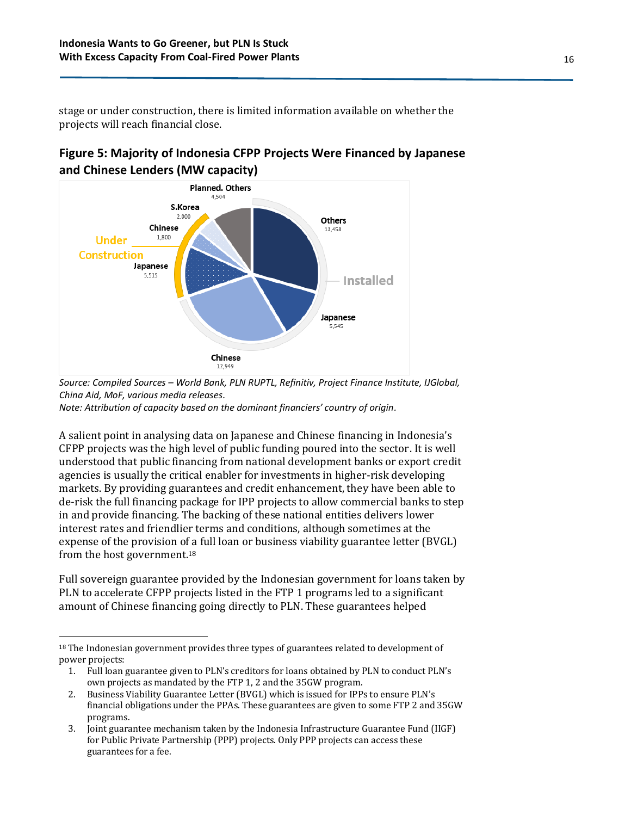stage or under construction, there is limited information available on whether the projects will reach financial close.





*Source: Compiled Sources – World Bank, PLN RUPTL, Refinitiv, Project Finance Institute, IJGlobal, China Aid, MoF, various media releases.*

*Note: Attribution of capacity based on the dominant financiers' country of origin.*

A salient point in analysing data on Japanese and Chinese financing in Indonesia's CFPP projects was the high level of public funding poured into the sector. It is well understood that public financing from national development banks or export credit agencies is usually the critical enabler for investments in higher-risk developing markets. By providing guarantees and credit enhancement, they have been able to de-risk the full financing package for IPP projects to allow commercial banks to step in and provide financing. The backing of these national entities delivers lower interest rates and friendlier terms and conditions, although sometimes at the expense of the provision of a full loan or business viability guarantee letter (BVGL) from the host government.<sup>18</sup>

Full sovereign guarantee provided by the Indonesian government for loans taken by PLN to accelerate CFPP projects listed in the FTP 1 programs led to a significant amount of Chinese financing going directly to PLN. These guarantees helped

<sup>&</sup>lt;sup>18</sup> The Indonesian government provides three types of guarantees related to development of power projects:

<sup>1.</sup> Full loan guarantee given to PLN's creditors for loans obtained by PLN to conduct PLN's own projects as mandated by the FTP 1, 2 and the 35GW program.

<sup>2.</sup> Business Viability Guarantee Letter (BVGL) which is issued for IPPs to ensure PLN's financial obligations under the PPAs. These guarantees are given to some FTP 2 and 35GW programs.

<sup>3.</sup> Joint guarantee mechanism taken by the Indonesia Infrastructure Guarantee Fund (IIGF) for Public Private Partnership (PPP) projects. Only PPP projects can access these guarantees for a fee.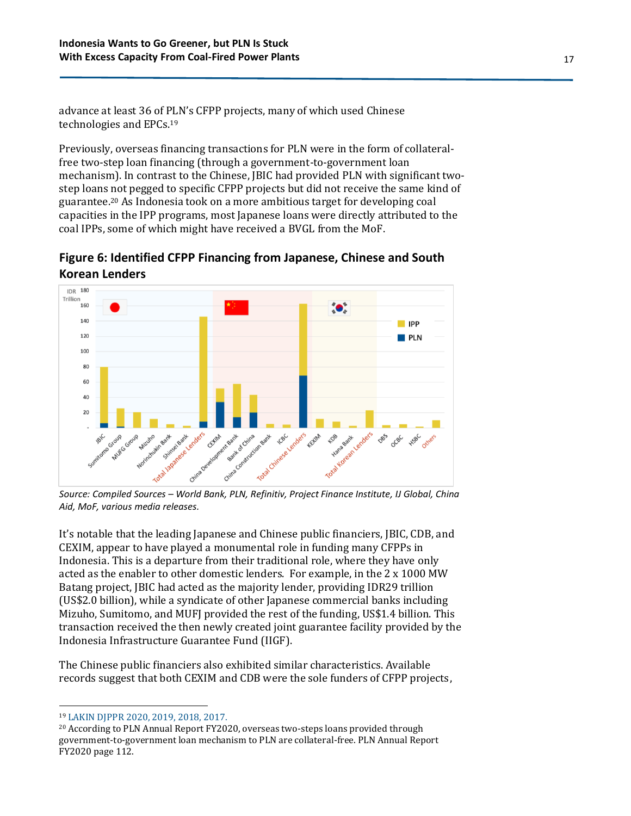advance at least 36 of PLN's CFPP projects, many of which used Chinese technologies and EPCs. 19

Previously, overseas financing transactions for PLN were in the form of collateralfree two-step loan financing (through a government-to-government loan mechanism). In contrast to the Chinese, JBIC had provided PLN with significant twostep loans not pegged to specific CFPP projects but did not receive the same kind of guarantee. <sup>20</sup> As Indonesia took on a more ambitious target for developing coal capacities in the IPP programs, most Japanese loans were directly attributed to the coal IPPs, some of which might have received a BVGL from the MoF.

**Figure 6: Identified CFPP Financing from Japanese, Chinese and South Korean Lenders**



*Source: Compiled Sources – World Bank, PLN, Refinitiv, Project Finance Institute, IJ Global, China Aid, MoF, various media releases.*

It's notable that the leading Japanese and Chinese public financiers, JBIC, CDB, and CEXIM, appear to have played a monumental role in funding many CFPPs in Indonesia. This is a departure from their traditional role, where they have only acted as the enabler to other domestic lenders. For example, in the 2 x 1000 MW Batang project, JBIC had acted as the majority lender, providing IDR29 trillion (US\$2.0 billion), while a syndicate of other Japanese commercial banks including Mizuho, Sumitomo, and MUFJ provided the rest of the funding, US\$1.4 billion. This transaction received the then newly created joint guarantee facility provided by the Indonesia Infrastructure Guarantee Fund (IIGF).

The Chinese public financiers also exhibited similar characteristics. Available records suggest that both CEXIM and CDB were the sole funders of CFPP projects,

<sup>19</sup> [LAKIN DJPPR 2020, 2019, 2018, 2017.](https://www.djppr.kemenkeu.go.id/page/load/710)

<sup>20</sup> According to PLN Annual Report FY2020, overseas two-steps loans provided through government-to-government loan mechanism to PLN are collateral-free. PLN Annual Report FY2020 page 112.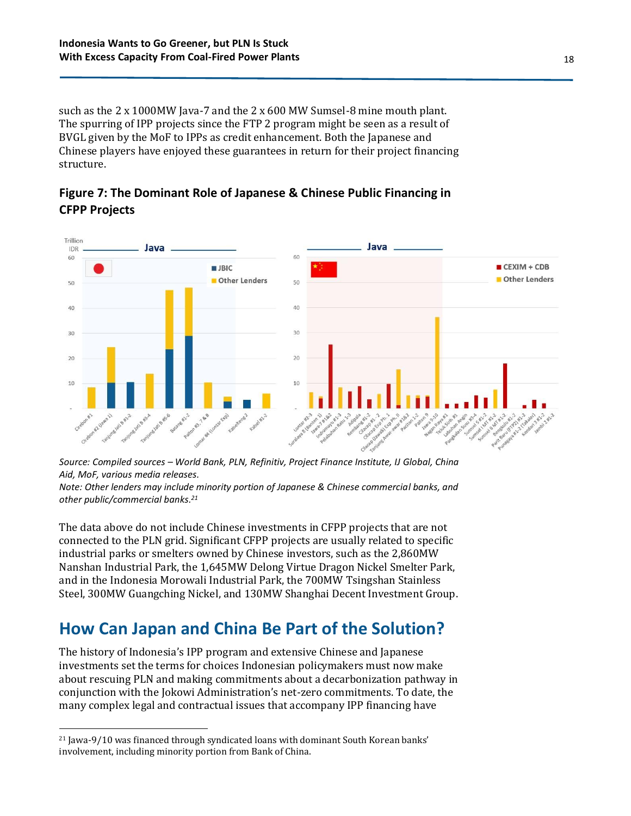such as the 2 x 1000MW Java-7 and the 2 x 600 MW Sumsel-8 mine mouth plant. The spurring of IPP projects since the FTP 2 program might be seen as a result of BVGL given by the MoF to IPPs as credit enhancement. Both the Japanese and Chinese players have enjoyed these guarantees in return for their project financing structure.





*Source: Compiled sources – World Bank, PLN, Refinitiv, Project Finance Institute, IJ Global, China Aid, MoF, various media releases.*

*Note: Other lenders may include minority portion of Japanese & Chinese commercial banks, and other public/commercial banks. 21*

The data above do not include Chinese investments in CFPP projects that are not connected to the PLN grid. Significant CFPP projects are usually related to specific industrial parks or smelters owned by Chinese investors, such as the 2,860MW Nanshan Industrial Park, the 1,645MW Delong Virtue Dragon Nickel Smelter Park, and in the Indonesia Morowali Industrial Park, the 700MW Tsingshan Stainless Steel, 300MW Guangching Nickel, and 130MW Shanghai Decent Investment Group.

## **How Can Japan and China Be Part of the Solution?**

The history of Indonesia's IPP program and extensive Chinese and Japanese investments set the terms for choices Indonesian policymakers must now make about rescuing PLN and making commitments about a decarbonization pathway in conjunction with the Jokowi Administration's net-zero commitments. To date, the many complex legal and contractual issues that accompany IPP financing have

<sup>21</sup> Jawa-9/10 was financed through syndicated loans with dominant South Korean banks' involvement, including minority portion from Bank of China.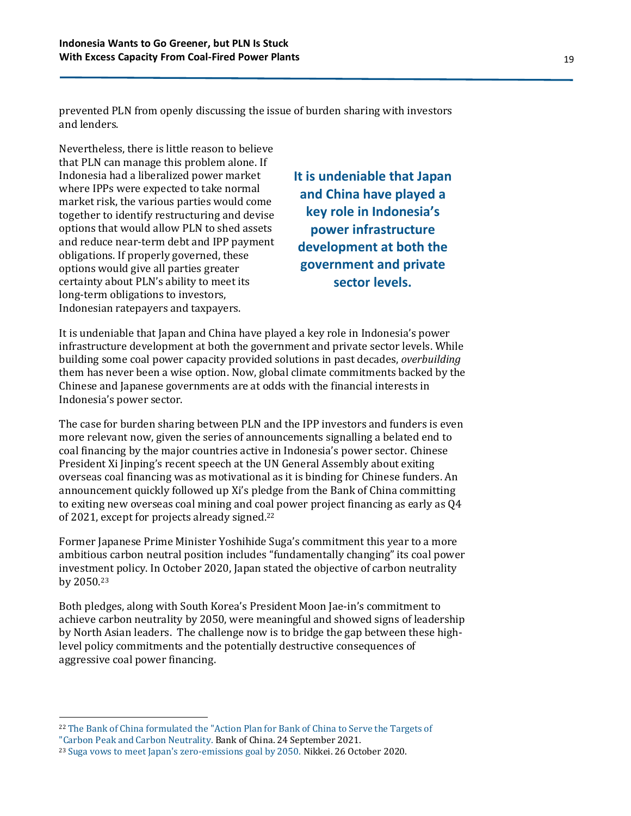prevented PLN from openly discussing the issue of burden sharing with investors and lenders.

Nevertheless, there is little reason to believe that PLN can manage this problem alone. If Indonesia had a liberalized power market where IPPs were expected to take normal market risk, the various parties would come together to identify restructuring and devise options that would allow PLN to shed assets and reduce near-term debt and IPP payment obligations. If properly governed, these options would give all parties greater certainty about PLN's ability to meet its long-term obligations to investors, Indonesian ratepayers and taxpayers.

**It is undeniable that Japan and China have played a key role in Indonesia's power infrastructure development at both the government and private sector levels.**

It is undeniable that Japan and China have played a key role in Indonesia's power infrastructure development at both the government and private sector levels. While building some coal power capacity provided solutions in past decades, *overbuilding* them has never been a wise option. Now, global climate commitments backed by the Chinese and Japanese governments are at odds with the financial interests in Indonesia's power sector.

The case for burden sharing between PLN and the IPP investors and funders is even more relevant now, given the series of announcements signalling a belated end to coal financing by the major countries active in Indonesia's power sector. Chinese President Xi Jinping's recent speech at the UN General Assembly about exiting overseas coal financing was as motivational as it is binding for Chinese funders. An announcement quickly followed up Xi's pledge from the Bank of China committing to exiting new overseas coal mining and coal power project financing as early as Q4 of 2021, except for projects already signed. 22

Former Japanese Prime Minister Yoshihide Suga's commitment this year to a more ambitious carbon neutral position includes "fundamentally changing" its coal power investment policy. In October 2020, Japan stated the objective of carbon neutrality by 2050.<sup>23</sup>

Both pledges, along with South Korea's President Moon Jae-in's commitment to achieve carbon neutrality by 2050, were meaningful and showed signs of leadership by North Asian leaders. The challenge now is to bridge the gap between these highlevel policy commitments and the potentially destructive consequences of aggressive coal power financing.

<sup>22</sup> [The Bank of China formulated the "Action Plan for Bank of China to Serve the Targets of](https://wap.boc.cn/bif/bi1/202109/t20210924_20085963.html)  ["Carbon Peak and Carbon Neutrality.](https://wap.boc.cn/bif/bi1/202109/t20210924_20085963.html) Bank of China. 24 September 2021.

<sup>23</sup> [Suga vows to meet Japan's zero-emissions goal by 2050.](https://asia.nikkei.com/Politics/Suga-vows-to-meet-Japan-s-zero-emissions-goal-by-2050) Nikkei. 26 October 2020.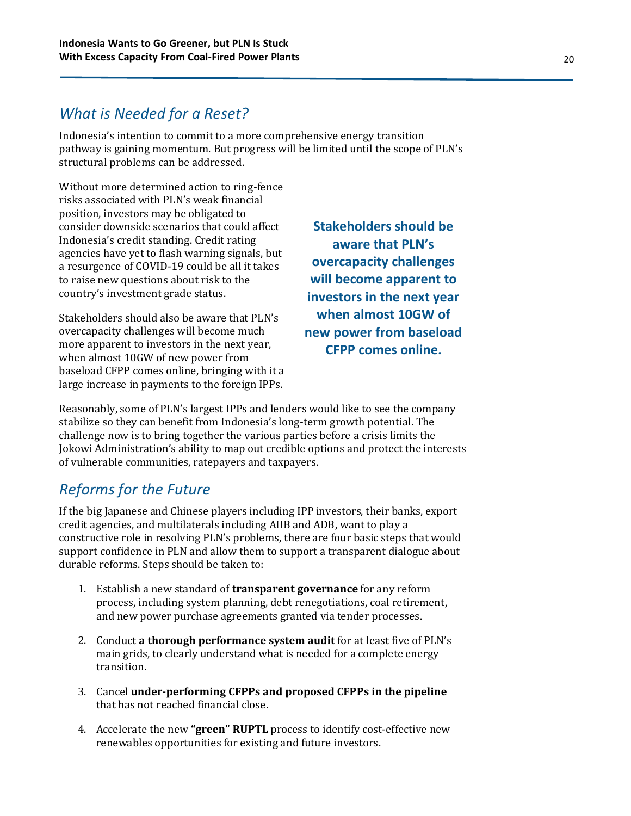#### *What is Needed for a Reset?*

Indonesia's intention to commit to a more comprehensive energy transition pathway is gaining momentum. But progress will be limited until the scope of PLN's structural problems can be addressed.

Without more determined action to ring-fence risks associated with PLN's weak financial position, investors may be obligated to consider downside scenarios that could affect Indonesia's credit standing. Credit rating agencies have yet to flash warning signals, but a resurgence of COVID-19 could be all it takes to raise new questions about risk to the country's investment grade status.

Stakeholders should also be aware that PLN's overcapacity challenges will become much more apparent to investors in the next year, when almost 10GW of new power from baseload CFPP comes online, bringing with it a large increase in payments to the foreign IPPs.

**Stakeholders should be aware that PLN's overcapacity challenges will become apparent to investors in the next year when almost 10GW of new power from baseload CFPP comes online.**

Reasonably, some of PLN's largest IPPs and lenders would like to see the company stabilize so they can benefit from Indonesia's long-term growth potential. The challenge now is to bring together the various parties before a crisis limits the Jokowi Administration's ability to map out credible options and protect the interests of vulnerable communities, ratepayers and taxpayers.

### *Reforms for the Future*

If the big Japanese and Chinese players including IPP investors, their banks, export credit agencies, and multilaterals including AIIB and ADB, want to play a constructive role in resolving PLN's problems, there are four basic steps that would support confidence in PLN and allow them to support a transparent dialogue about durable reforms. Steps should be taken to:

- 1. Establish a new standard of **transparent governance** for any reform process, including system planning, debt renegotiations, coal retirement, and new power purchase agreements granted via tender processes.
- 2. Conduct **a thorough performance system audit** for at least five of PLN's main grids, to clearly understand what is needed for a complete energy transition.
- 3. Cancel **under-performing CFPPs and proposed CFPPs in the pipeline** that has not reached financial close.
- 4. Accelerate the new **"green" RUPTL** process to identify cost-effective new renewables opportunities for existing and future investors.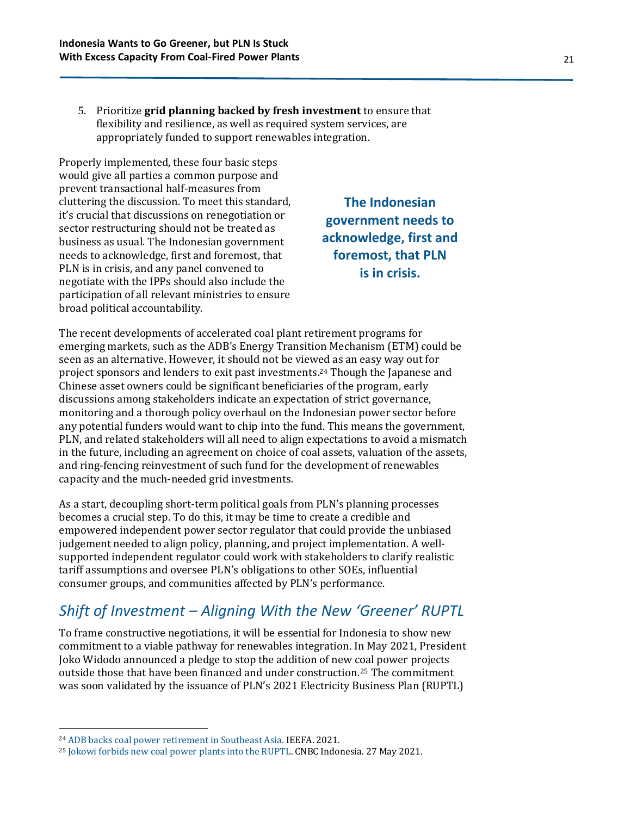5. Prioritize **grid planning backed by fresh investment** to ensure that flexibility and resilience, as well as required system services, are appropriately funded to support renewables integration.

Properly implemented, these four basic steps would give all parties a common purpose and prevent transactional half-measures from cluttering the discussion. To meet this standard, it's crucial that discussions on renegotiation or sector restructuring should not be treated as business as usual. The Indonesian government needs to acknowledge, first and foremost, that PLN is in crisis, and any panel convened to negotiate with the IPPs should also include the participation of all relevant ministries to ensure broad political accountability.

**The Indonesian government needs to acknowledge, first and foremost, that PLN is in crisis.**

The recent developments of accelerated coal plant retirement programs for emerging markets, such as the ADB's Energy Transition Mechanism (ETM) could be seen as an alternative. However, it should not be viewed as an easy way out for project sponsors and lenders to exit past investments. <sup>24</sup> Though the Japanese and Chinese asset owners could be significant beneficiaries of the program, early discussions among stakeholders indicate an expectation of strict governance, monitoring and a thorough policy overhaul on the Indonesian power sector before any potential funders would want to chip into the fund. This means the government, PLN, and related stakeholders will all need to align expectations to avoid a mismatch in the future, including an agreement on choice of coal assets, valuation of the assets, and ring-fencing reinvestment of such fund for the development of renewables capacity and the much-needed grid investments.

As a start, decoupling short-term political goals from PLN's planning processes becomes a crucial step. To do this, it may be time to create a credible and empowered independent power sector regulator that could provide the unbiased judgement needed to align policy, planning, and project implementation. A wellsupported independent regulator could work with stakeholders to clarify realistic tariff assumptions and oversee PLN's obligations to other SOEs, influential consumer groups, and communities affected by PLN's performance.

### *Shift of Investment – Aligning With the New 'Greener' RUPTL*

To frame constructive negotiations, it will be essential for Indonesia to show new commitment to a viable pathway for renewables integration. In May 2021, President Joko Widodo announced a pledge to stop the addition of new coal power projects outside those that have been financed and under construction. <sup>25</sup> The commitment was soon validated by the issuance of PLN's 2021 Electricity Business Plan (RUPTL)

<sup>24</sup> [ADB backs coal power retirement in Southeast Asia.](http://ieefa.org/wp-content/uploads/2021/09/ADB-Backs-Coal-Power-Retirement-In-Southeast-Asia-September-2021.pdf) IEEFA. 2021.

<sup>25</sup> [Jokowi forbids new coal power plants into the RUPTL.](https://www.cnbcindonesia.com/news/20210527185535-4-248863/jokowi-haramkan-proyek-pltu-baru-masuk-di-ruptl) CNBC Indonesia. 27 May 2021.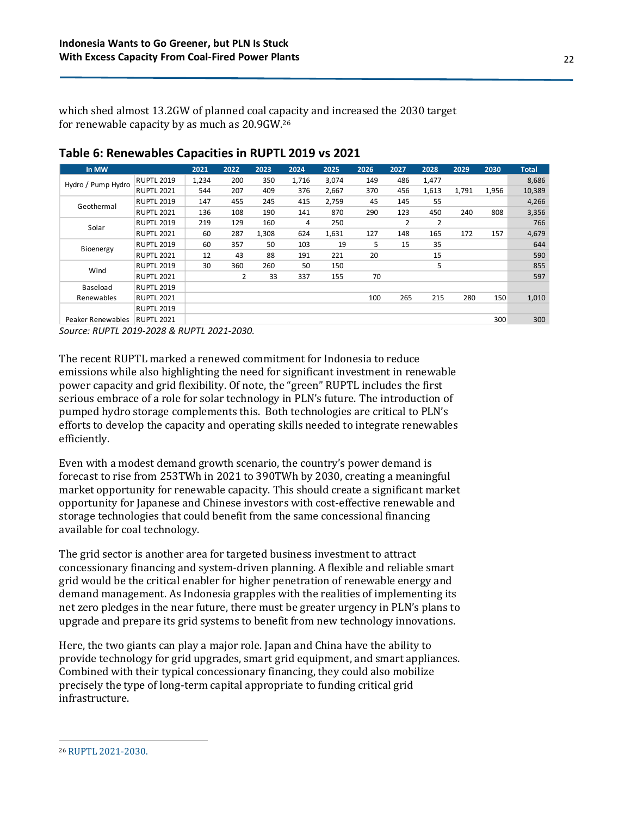which shed almost 13.2GW of planned coal capacity and increased the 2030 target for renewable capacity by as much as 20.9GW. 26

| In MW              |                   | 2021  | 2022 | 2023  | 2024  | 2025  | 2026 | 2027 | 2028  | 2029  | 2030  | <b>Total</b> |
|--------------------|-------------------|-------|------|-------|-------|-------|------|------|-------|-------|-------|--------------|
| Hydro / Pump Hydro | <b>RUPTL 2019</b> | 1,234 | 200  | 350   | 1,716 | 3.074 | 149  | 486  | 1,477 |       |       | 8,686        |
|                    | <b>RUPTL 2021</b> | 544   | 207  | 409   | 376   | 2,667 | 370  | 456  | 1,613 | 1,791 | 1,956 | 10,389       |
| Geothermal         | <b>RUPTL 2019</b> | 147   | 455  | 245   | 415   | 2,759 | 45   | 145  | 55    |       |       | 4,266        |
|                    | <b>RUPTL 2021</b> | 136   | 108  | 190   | 141   | 870   | 290  | 123  | 450   | 240   | 808   | 3,356        |
| Solar              | <b>RUPTL 2019</b> | 219   | 129  | 160   | 4     | 250   |      | 2    | 2     |       |       | 766          |
|                    | <b>RUPTL 2021</b> | 60    | 287  | 1,308 | 624   | 1,631 | 127  | 148  | 165   | 172   | 157   | 4,679        |
| Bioenergy          | <b>RUPTL 2019</b> | 60    | 357  | 50    | 103   | 19    | 5    | 15   | 35    |       |       | 644          |
|                    | <b>RUPTL 2021</b> | 12    | 43   | 88    | 191   | 221   | 20   |      | 15    |       |       | 590          |
| Wind               | <b>RUPTL 2019</b> | 30    | 360  | 260   | 50    | 150   |      |      | 5     |       |       | 855          |
|                    | <b>RUPTL 2021</b> |       | 2    | 33    | 337   | 155   | 70   |      |       |       |       | 597          |
| Baseload           | <b>RUPTL 2019</b> |       |      |       |       |       |      |      |       |       |       |              |
| Renewables         | <b>RUPTL 2021</b> |       |      |       |       |       | 100  | 265  | 215   | 280   | 150   | 1,010        |
|                    | <b>RUPTL 2019</b> |       |      |       |       |       |      |      |       |       |       |              |
| Peaker Renewables  | <b>RUPTL 2021</b> |       |      |       |       |       |      |      |       |       | 300   | 300          |

#### **Table 6: Renewables Capacities in RUPTL 2019 vs 2021**

*Source: RUPTL 2019-2028 & RUPTL 2021-2030.*

The recent RUPTL marked a renewed commitment for Indonesia to reduce emissions while also highlighting the need for significant investment in renewable power capacity and grid flexibility. Of note, the "green" RUPTL includes the first serious embrace of a role for solar technology in PLN's future. The introduction of pumped hydro storage complements this. Both technologies are critical to PLN's efforts to develop the capacity and operating skills needed to integrate renewables efficiently.

Even with a modest demand growth scenario, the country's power demand is forecast to rise from 253TWh in 2021 to 390TWh by 2030, creating a meaningful market opportunity for renewable capacity. This should create a significant market opportunity for Japanese and Chinese investors with cost-effective renewable and storage technologies that could benefit from the same concessional financing available for coal technology.

The grid sector is another area for targeted business investment to attract concessionary financing and system-driven planning. A flexible and reliable smart grid would be the critical enabler for higher penetration of renewable energy and demand management. As Indonesia grapples with the realities of implementing its net zero pledges in the near future, there must be greater urgency in PLN's plans to upgrade and prepare its grid systems to benefit from new technology innovations.

Here, the two giants can play a major role. Japan and China have the ability to provide technology for grid upgrades, smart grid equipment, and smart appliances. Combined with their typical concessionary financing, they could also mobilize precisely the type of long-term capital appropriate to funding critical grid infrastructure.

<sup>26</sup> [RUPTL 2021-2030.](https://web.pln.co.id/statics/uploads/2021/10/ruptl-2021-2030.pdf)